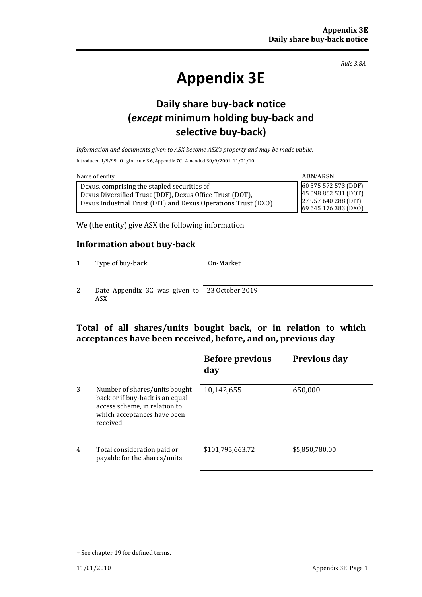*Rule 3.8A*

# **Appendix 3E**

# **Daily share buy-back notice (***except* **minimum holding buy-back and selective buy-back)**

*Information and documents given to ASX become ASX's property and may be made public.*

Introduced 1/9/99. Origin: rule 3.6, Appendix 7C. Amended 30/9/2001, 11/01/10

| Name of entity                                                                                                                                                           | ABN/ARSN                                                                                     |
|--------------------------------------------------------------------------------------------------------------------------------------------------------------------------|----------------------------------------------------------------------------------------------|
| Dexus, comprising the stapled securities of<br>Dexus Diversified Trust (DDF), Dexus Office Trust (DOT),<br>Dexus Industrial Trust (DIT) and Dexus Operations Trust (DXO) | 60 575 572 573 (DDF)<br>45 098 862 531 (DOT)<br>27 957 640 288 (DIT)<br>69 645 176 383 (DXO) |

We (the entity) give ASX the following information.

### **Information about buy-back**

1 Type of buy-back 0n-Market

2 Date Appendix 3C was given to 23 October 2019 ASX

## **Total of all shares/units bought back, or in relation to which acceptances have been received, before, and on, previous day**

|                |                                                                                                                                              | <b>Before previous</b><br>day | <b>Previous day</b> |
|----------------|----------------------------------------------------------------------------------------------------------------------------------------------|-------------------------------|---------------------|
| 3              | Number of shares/units bought<br>back or if buy-back is an equal<br>access scheme, in relation to<br>which acceptances have been<br>received | 10,142,655                    | 650,000             |
| $\overline{4}$ | Total consideration paid or<br>payable for the shares/units                                                                                  | \$101,795,663.72              | \$5,850,780.00      |

<sup>+</sup> See chapter 19 for defined terms.